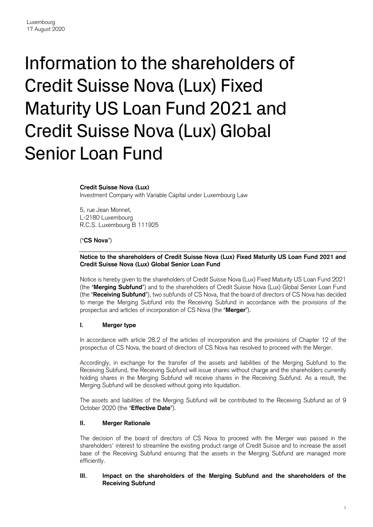# Information to the shareholders of Credit Suisse Nova (Lux) Fixed Maturity US Loan Fund 2021 and Credit Suisse Nova (Lux) Global Senior Loan Fund

#### **Credit Suisse Nova (Lux)**

Investment Company with Variable Capital under Luxembourg Law

5, rue Jean Monnet, L-2180 Luxembourg R.C.S. Luxembourg B 111925

#### ("**CS Nova**")

### **Notice to the shareholders of Credit Suisse Nova (Lux) Fixed Maturity US Loan Fund 2021 and Credit Suisse Nova (Lux) Global Senior Loan Fund**

Notice is hereby given to the shareholders of Credit Suisse Nova (Lux) Fixed Maturity US Loan Fund 2021 (the "**Merging Subfund**") and to the shareholders of Credit Suisse Nova (Lux) Global Senior Loan Fund (the "**Receiving Subfund**"), two subfunds of CS Nova, that the board of directors of CS Nova has decided to merge the Merging Subfund into the Receiving Subfund in accordance with the provisions of the prospectus and articles of incorporation of CS Nova (the "**Merger**").

#### **I. Merger type**

In accordance with article 28.2 of the articles of incorporation and the provisions of Chapter 12 of the prospectus of CS Nova, the board of directors of CS Nova has resolved to proceed with the Merger.

Accordingly, in exchange for the transfer of the assets and liabilities of the Merging Subfund to the Receiving Subfund, the Receiving Subfund will issue shares without charge and the shareholders currently holding shares in the Merging Subfund will receive shares in the Receiving Subfund. As a result, the Merging Subfund will be dissolved without going into liquidation.

The assets and liabilities of the Merging Subfund will be contributed to the Receiving Subfund as of 9 October 2020 (the "**Effective Date**").

#### **II. Merger Rationale**

The decision of the board of directors of CS Nova to proceed with the Merger was passed in the shareholders' interest to streamline the existing product range of Credit Suisse and to increase the asset base of the Receiving Subfund ensuring that the assets in the Merging Subfund are managed more efficiently.

### **III. Impact on the shareholders of the Merging Subfund and the shareholders of the Receiving Subfund**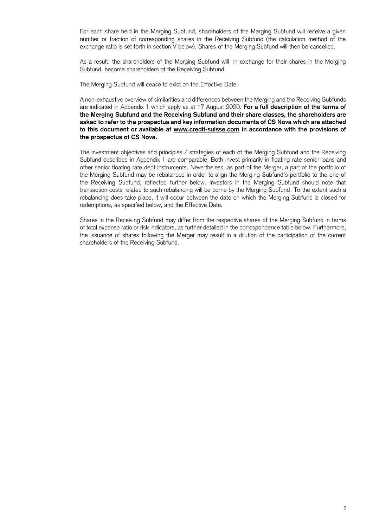For each share held in the Merging Subfund, shareholders of the Merging Subfund will receive a given number or fraction of corresponding shares in the Receiving Subfund (the calculation method of the exchange ratio is set forth in section V below). Shares of the Merging Subfund will then be cancelled.

As a result, the shareholders of the Merging Subfund will, in exchange for their shares in the Merging Subfund, become shareholders of the Receiving Subfund.

The Merging Subfund will cease to exist on the Effective Date.

A non-exhaustive overview of similarities and differences between the Merging and the Receiving Subfunds are indicated in Appendix 1 which apply as at 17 August 2020. **For a full description of the terms of the Merging Subfund and the Receiving Subfund and their share classes, the shareholders are asked to refer to the prospectus and key information documents of CS Nova which are attached to this document or available at [www.credit-suisse.com](http://www.credit-suisse.com/) in accordance with the provisions of the prospectus of CS Nova.**

The investment objectives and principles / strategies of each of the Merging Subfund and the Receiving Subfund described in Appendix 1 are comparable. Both invest primarily in floating rate senior loans and other senior floating rate debt instruments. Nevertheless, as part of the Merger, a part of the portfolio of the Merging Subfund may be rebalanced in order to align the Merging Subfund's portfolio to the one of the Receiving Subfund, reflected further below. Investors in the Merging Subfund should note that transaction costs related to such rebalancing will be borne by the Merging Subfund. To the extent such a rebalancing does take place, it will occur between the date on which the Merging Subfund is closed for redemptions, as specified below, and the Effective Date.

Shares in the Receiving Subfund may differ from the respective shares of the Merging Subfund in terms of total expense ratio or risk indicators, as further detailed in the correspondence table below. Furthermore, the issuance of shares following the Merger may result in a dilution of the participation of the current shareholders of the Receiving Subfund.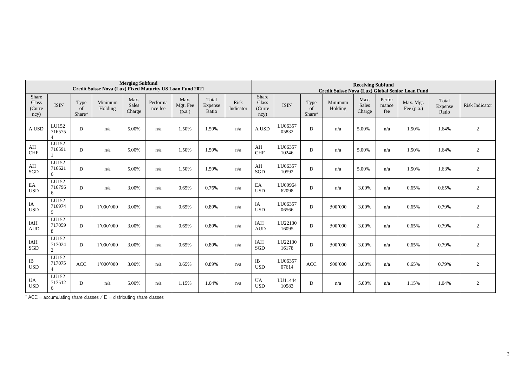| <b>Merging Subfund</b><br>Credit Suisse Nova (Lux) Fixed Maturity US Loan Fund 2021 |                                   |                      |                    |                         |                     | <b>Receiving Subfund</b><br>Credit Suisse Nova (Lux) Global Senior Loan Fund |                           |                   |                                  |                  |                      |                    |                         |                        |                           |                           |                       |
|-------------------------------------------------------------------------------------|-----------------------------------|----------------------|--------------------|-------------------------|---------------------|------------------------------------------------------------------------------|---------------------------|-------------------|----------------------------------|------------------|----------------------|--------------------|-------------------------|------------------------|---------------------------|---------------------------|-----------------------|
| Share<br>Class<br>(Curre<br>ncy)                                                    | <b>ISIN</b>                       | Type<br>of<br>Share* | Minimum<br>Holding | Max.<br>Sales<br>Charge | Performa<br>nce fee | Max.<br>Mgt. Fee<br>(p.a.)                                                   | Total<br>Expense<br>Ratio | Risk<br>Indicator | Share<br>Class<br>(Curre<br>ncy) | <b>ISIN</b>      | Type<br>of<br>Share* | Minimum<br>Holding | Max.<br>Sales<br>Charge | Perfor<br>mance<br>fee | Max. Mgt.<br>Fee $(p.a.)$ | Total<br>Expense<br>Ratio | <b>Risk Indicator</b> |
| A USD                                                                               | LU152<br>716575                   | D                    | n/a                | 5.00%                   | n/a                 | 1.50%                                                                        | 1.59%                     | n/a               | A USD                            | LU06357<br>05832 | D                    | n/a                | 5.00%                   | n/a                    | 1.50%                     | 1.64%                     | 2                     |
| AH<br><b>CHF</b>                                                                    | LU152<br>716591                   | D                    | n/a                | 5.00%                   | n/a                 | 1.50%                                                                        | 1.59%                     | n/a               | AH<br><b>CHF</b>                 | LU06357<br>10246 | D                    | n/a                | 5.00%                   | n/a                    | 1.50%                     | 1.64%                     | 2                     |
| AH<br>SGD                                                                           | LU152<br>716621<br>6              | D                    | n/a                | 5.00%                   | n/a                 | 1.50%                                                                        | 1.59%                     | n/a               | AH<br>SGD                        | LU06357<br>10592 | D                    | n/a                | 5.00%                   | n/a                    | 1.50%                     | 1.63%                     | 2                     |
| EA<br><b>USD</b>                                                                    | LU152<br>716796<br>6              | D                    | n/a                | 3.00%                   | n/a                 | 0.65%                                                                        | 0.76%                     | n/a               | EA<br><b>USD</b>                 | LU09964<br>62098 | D                    | n/a                | 3.00%                   | n/a                    | 0.65%                     | 0.65%                     | $\overline{c}$        |
| IA<br><b>USD</b>                                                                    | LU152<br>716974<br>9              | D                    | 1'000'000          | 3.00%                   | n/a                 | 0.65%                                                                        | 0.89%                     | n/a               | IA<br><b>USD</b>                 | LU06357<br>06566 | D                    | 500'000            | 3.00%                   | n/a                    | 0.65%                     | 0.79%                     | $\overline{c}$        |
| IAH<br><b>AUD</b>                                                                   | LU152<br>717059<br>8              | D                    | 1'000'000          | 3.00%                   | n/a                 | 0.65%                                                                        | 0.89%                     | n/a               | <b>IAH</b><br><b>AUD</b>         | LU22130<br>16095 | D                    | 500'000            | 3.00%                   | n/a                    | 0.65%                     | 0.79%                     | $\overline{2}$        |
| IAH<br>SGD                                                                          | LU152<br>717024<br>$\overline{2}$ | D                    | 1'000'000          | 3.00%                   | n/a                 | 0.65%                                                                        | 0.89%                     | n/a               | IAH<br>SGD                       | LU22130<br>16178 | D                    | 500'000            | 3.00%                   | n/a                    | 0.65%                     | 0.79%                     | 2                     |
| $\rm IB$<br><b>USD</b>                                                              | LU152<br>717075<br>$\Delta$       | <b>ACC</b>           | 1'000'000          | 3.00%                   | n/a                 | 0.65%                                                                        | 0.89%                     | n/a               | IB<br><b>USD</b>                 | LU06357<br>07614 | <b>ACC</b>           | 500'000            | 3.00%                   | n/a                    | 0.65%                     | 0.79%                     | 2                     |
| UA<br><b>USD</b>                                                                    | LU152<br>717512<br>6              | D                    | n/a                | 5.00%                   | n/a                 | 1.15%                                                                        | 1.04%                     | n/a               | <b>UA</b><br><b>USD</b>          | LU11444<br>10583 | D                    | n/a                | 5.00%                   | n/a                    | 1.15%                     | 1.04%                     | 2                     |

 $*$  ACC = accumulating share classes  $/ D =$  distributing share classes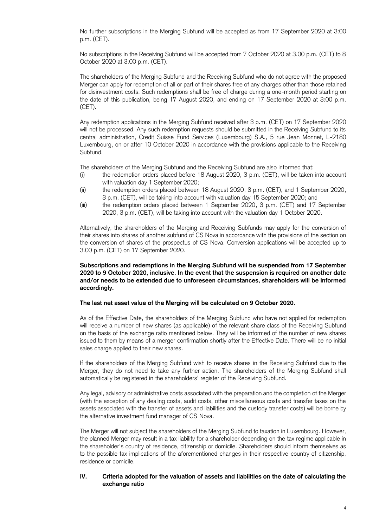No further subscriptions in the Merging Subfund will be accepted as from 17 September 2020 at 3:00 p.m. (CET).

No subscriptions in the Receiving Subfund will be accepted from 7 October 2020 at 3.00 p.m. (CET) to 8 October 2020 at 3.00 p.m. (CET).

The shareholders of the Merging Subfund and the Receiving Subfund who do not agree with the proposed Merger can apply for redemption of all or part of their shares free of any charges other than those retained for disinvestment costs. Such redemptions shall be free of charge during a one-month period starting on the date of this publication, being 17 August 2020, and ending on 17 September 2020 at 3:00 p.m. (CET).

Any redemption applications in the Merging Subfund received after 3 p.m. (CET) on 17 September 2020 will not be processed. Any such redemption requests should be submitted in the Receiving Subfund to its central administration, Credit Suisse Fund Services (Luxembourg) S.A., 5 rue Jean Monnet, L-2180 Luxembourg, on or after 10 October 2020 in accordance with the provisions applicable to the Receiving Subfund.

The shareholders of the Merging Subfund and the Receiving Subfund are also informed that:

- (i) the redemption orders placed before 18 August 2020, 3 p.m. (CET), will be taken into account with valuation day 1 September 2020;
- (ii) the redemption orders placed between 18 August 2020, 3 p.m. (CET), and 1 September 2020, 3 p.m. (CET), will be taking into account with valuation day 15 September 2020; and
- (iii) the redemption orders placed between 1 September 2020, 3 p.m. (CET) and 17 September 2020, 3 p.m. (CET), will be taking into account with the valuation day 1 October 2020.

Alternatively, the shareholders of the Merging and Receiving Subfunds may apply for the conversion of their shares into shares of another subfund of CS Nova in accordance with the provisions of the section on the conversion of shares of the prospectus of CS Nova. Conversion applications will be accepted up to 3.00 p.m. (CET) on 17 September 2020.

### **Subscriptions and redemptions in the Merging Subfund will be suspended from 17 September 2020 to 9 October 2020, inclusive. In the event that the suspension is required on another date and/or needs to be extended due to unforeseen circumstances, shareholders will be informed accordingly.**

#### **The last net asset value of the Merging will be calculated on 9 October 2020.**

As of the Effective Date, the shareholders of the Merging Subfund who have not applied for redemption will receive a number of new shares (as applicable) of the relevant share class of the Receiving Subfund on the basis of the exchange ratio mentioned below. They will be informed of the number of new shares issued to them by means of a merger confirmation shortly after the Effective Date. There will be no initial sales charge applied to their new shares.

If the shareholders of the Merging Subfund wish to receive shares in the Receiving Subfund due to the Merger, they do not need to take any further action. The shareholders of the Merging Subfund shall automatically be registered in the shareholders' register of the Receiving Subfund.

Any legal, advisory or administrative costs associated with the preparation and the completion of the Merger (with the exception of any dealing costs, audit costs, other miscellaneous costs and transfer taxes on the assets associated with the transfer of assets and liabilities and the custody transfer costs) will be borne by the alternative investment fund manager of CS Nova.

The Merger will not subject the shareholders of the Merging Subfund to taxation in Luxembourg. However, the planned Merger may result in a tax liability for a shareholder depending on the tax regime applicable in the shareholder's country of residence, citizenship or domicile. Shareholders should inform themselves as to the possible tax implications of the aforementioned changes in their respective country of citizenship, residence or domicile.

## **IV. Criteria adopted for the valuation of assets and liabilities on the date of calculating the exchange ratio**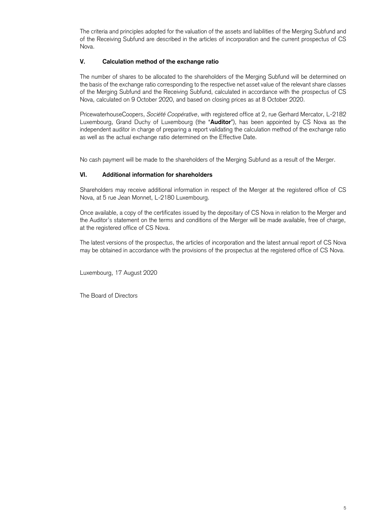The criteria and principles adopted for the valuation of the assets and liabilities of the Merging Subfund and of the Receiving Subfund are described in the articles of incorporation and the current prospectus of CS Nova.

## **V. Calculation method of the exchange ratio**

The number of shares to be allocated to the shareholders of the Merging Subfund will be determined on the basis of the exchange ratio corresponding to the respective net asset value of the relevant share classes of the Merging Subfund and the Receiving Subfund, calculated in accordance with the prospectus of CS Nova, calculated on 9 October 2020, and based on closing prices as at 8 October 2020.

PricewaterhouseCoopers, *Société Coopérative*, with registered office at 2, rue Gerhard Mercator, L-2182 Luxembourg, Grand Duchy of Luxembourg (the "**Auditor**"), has been appointed by CS Nova as the independent auditor in charge of preparing a report validating the calculation method of the exchange ratio as well as the actual exchange ratio determined on the Effective Date.

No cash payment will be made to the shareholders of the Merging Subfund as a result of the Merger.

# **VI. Additional information for shareholders**

Shareholders may receive additional information in respect of the Merger at the registered office of CS Nova, at 5 rue Jean Monnet, L-2180 Luxembourg.

Once available, a copy of the certificates issued by the depositary of CS Nova in relation to the Merger and the Auditor's statement on the terms and conditions of the Merger will be made available, free of charge, at the registered office of CS Nova.

The latest versions of the prospectus, the articles of incorporation and the latest annual report of CS Nova may be obtained in accordance with the provisions of the prospectus at the registered office of CS Nova.

Luxembourg, 17 August 2020

The Board of Directors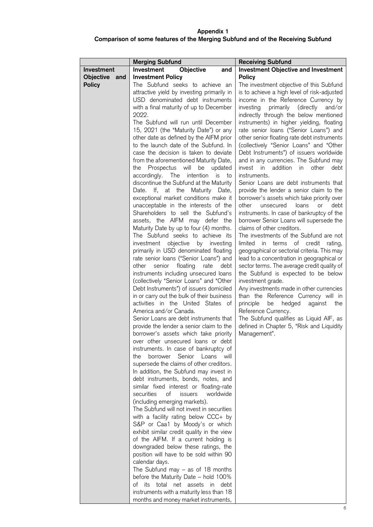# **Appendix 1 Comparison of some features of the Merging Subfund and of the Receiving Subfund**

|               | <b>Merging Subfund</b>                                                              | <b>Receiving Subfund</b>                                                                   |
|---------------|-------------------------------------------------------------------------------------|--------------------------------------------------------------------------------------------|
| Investment    | Objective<br>Investment<br>and                                                      | <b>Investment Objective and Investment</b>                                                 |
| Objective and | <b>Investment Policy</b>                                                            | <b>Policy</b>                                                                              |
| <b>Policy</b> | The Subfund seeks to achieve an                                                     | The investment objective of this Subfund                                                   |
|               | attractive yield by investing primarily in                                          | is to achieve a high level of risk-adjusted                                                |
|               | USD denominated debt instruments                                                    | income in the Reference Currency by                                                        |
|               | with a final maturity of up to December                                             | primarily (directly<br>and/or<br>investing                                                 |
|               | 2022.                                                                               | indirectly through the below mentioned                                                     |
|               | The Subfund will run until December                                                 | instruments) in higher yielding, floating                                                  |
|               | 15, 2021 (the "Maturity Date") or any                                               | rate senior loans ("Senior Loans") and                                                     |
|               | other date as defined by the AIFM prior<br>to the launch date of the Subfund. In    | other senior floating rate debt instruments<br>(collectively "Senior Loans" and "Other     |
|               | case the decision is taken to deviate                                               | Debt Instruments") of issuers worldwide                                                    |
|               | from the aforementioned Maturity Date,                                              | and in any currencies. The Subfund may                                                     |
|               | the Prospectus will be updated                                                      | addition in other<br>invest in<br>debt                                                     |
|               | accordingly. The intention<br>is<br>to                                              | instruments.                                                                               |
|               | discontinue the Subfund at the Maturity                                             | Senior Loans are debt instruments that                                                     |
|               | Date. If, at the Maturity Date,                                                     | provide the lender a senior claim to the                                                   |
|               | exceptional market conditions make it                                               | borrower's assets which take priority over                                                 |
|               | unacceptable in the interests of the                                                | other<br>debt<br>unsecured<br>loans<br>or                                                  |
|               | Shareholders to sell the Subfund's                                                  | instruments. In case of bankruptcy of the                                                  |
|               | assets, the AIFM may defer the                                                      | borrower Senior Loans will supersede the                                                   |
|               | Maturity Date by up to four (4) months.                                             | claims of other creditors.                                                                 |
|               | The Subfund seeks to achieve its                                                    | The investments of the Subfund are not                                                     |
|               | investment objective by investing                                                   | limited in terms of credit<br>rating,                                                      |
|               | primarily in USD denominated floating<br>rate senior loans ("Senior Loans") and     | geographical or sectorial criteria. This may<br>lead to a concentration in geographical or |
|               | floating<br>other<br>senior<br>rate<br>debt                                         | sector terms. The average credit quality of                                                |
|               | instruments including unsecured loans                                               | the Subfund is expected to be below                                                        |
|               | (collectively "Senior Loans" and "Other                                             | investment grade.                                                                          |
|               | Debt Instruments") of issuers domiciled                                             | Any investments made in other currencies                                                   |
|               | in or carry out the bulk of their business                                          | than the Reference Currency will in                                                        |
|               | activities in the United States of                                                  | principle<br>hedged<br>against<br>be<br>the                                                |
|               | America and/or Canada.                                                              | Reference Currency.                                                                        |
|               | Senior Loans are debt instruments that                                              | The Subfund qualifies as Liquid AIF, as                                                    |
|               | provide the lender a senior claim to the                                            | defined in Chapter 5, "Risk and Liquidity                                                  |
|               | borrower's assets which take priority                                               | Management".                                                                               |
|               | over other unsecured loans or debt                                                  |                                                                                            |
|               | instruments. In case of bankruptcy of                                               |                                                                                            |
|               | Senior Loans<br>the<br>borrower<br>will<br>supersede the claims of other creditors. |                                                                                            |
|               | In addition, the Subfund may invest in                                              |                                                                                            |
|               | debt instruments, bonds, notes, and                                                 |                                                                                            |
|               | similar fixed interest or floating-rate                                             |                                                                                            |
|               | securities<br>оf<br>issuers<br>worldwide                                            |                                                                                            |
|               | (including emerging markets).                                                       |                                                                                            |
|               | The Subfund will not invest in securities                                           |                                                                                            |
|               | with a facility rating below CCC+ by                                                |                                                                                            |
|               | S&P or Caa1 by Moody's or which                                                     |                                                                                            |
|               | exhibit similar credit quality in the view                                          |                                                                                            |
|               | of the AIFM. If a current holding is                                                |                                                                                            |
|               | downgraded below these ratings, the                                                 |                                                                                            |
|               | position will have to be sold within 90<br>calendar days.                           |                                                                                            |
|               | The Subfund may $-$ as of 18 months                                                 |                                                                                            |
|               | before the Maturity Date - hold 100%                                                |                                                                                            |
|               | of its<br>total net assets in debt                                                  |                                                                                            |
|               | instruments with a maturity less than 18                                            |                                                                                            |
|               | months and money market instruments,                                                |                                                                                            |